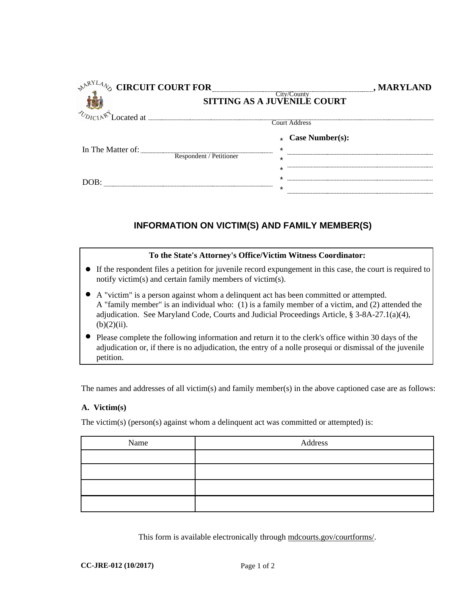| NARYLANS .<br><b>CIRCUIT COURT FOR</b> |                         |              | , MARYLAND              |  |
|----------------------------------------|-------------------------|--------------|-------------------------|--|
| <b>SITTING AS A JUVENILE COURT</b>     |                         |              |                         |  |
| $v_{DICIA}$ $\mathbb{R}^4$ Located at  | Court Address           |              |                         |  |
|                                        |                         |              | $\star$ Case Number(s): |  |
| In The Matter of:                      |                         | $\star$      |                         |  |
|                                        | Respondent / Petitioner | $\star$      |                         |  |
|                                        |                         | ×            |                         |  |
|                                        |                         | *<br>$\star$ |                         |  |
|                                        |                         |              |                         |  |

## **INFORMATION ON VICTIM(S) AND FAMILY MEMBER(S)**

## **To the State's Attorney's Office/Victim Witness Coordinator:**

- **16 If the respondent files a petition for juvenile record expungement in this case, the court is required to 16 If the respondent files a petition for juvenile record expungement in this case, the court is required t** notify victim(s) and certain family members of victim(s).
- A "victim" is a person against whom a delinquent act has been committed or attempted. A "victim" is a person against whom a delinquent act has been committed or attempted. A "family member" is an individual who: (1) is a family member of a victim, and (2) attended the adjudication. See Maryland Code, Courts and Judicial Proceedings Article, § 3-8A-27.1(a)(4),  $(b)(2)(ii)$ . **.** (b)(2)(ii). ● Please complete the following information and return it to the clerk's office within 30 days of the
- adjudication or, if there is no adjudication, the entry of a nolle prosequi or dismissal of the juvenile petition.

The names and addresses of all victim(s) and family member(s) in the above captioned case are as follows:

## **A. Victim(s)**

The victim(s) (person(s) against whom a delinquent act was committed or attempted) is:

| Name | Address |
|------|---------|
|      |         |
|      |         |
|      |         |
|      |         |

This form is available electronically through mdcourts.gov/courtforms/.